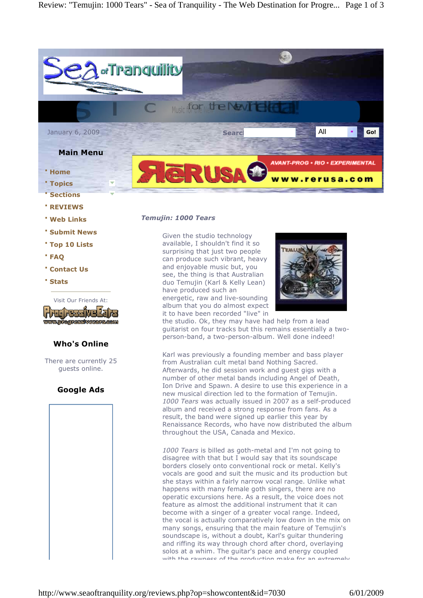

- **· REVIEWS**
- **· Web Links**
- **· Submit News**
- **· Top 10 Lists**
- **· FAQ**
- **· Contact Us**
- **· Stats**



# **Who's Online**

There are currently 25 guests online.

# **Google Ads**



#### *Temujin: 1000 Tears*

Given the studio technology available, I shouldn't find it so surprising that just two people can produce such vibrant, heavy and enjoyable music but, you see, the thing is that Australian duo Temujin (Karl & Kelly Lean) have produced such an energetic, raw and live-sounding album that you do almost expect it to have been recorded "live" in



the studio. Ok, they may have had help from a lead guitarist on four tracks but this remains essentially a two person-band, a two-person-album. Well done indeed!

Karl was previously a founding member and bass player from Australian cult metal band Nothing Sacred. Afterwards, he did session work and guest gigs with a number of other metal bands including Angel of Death, Ion Drive and Spawn. A desire to use this experience in a new musical direction led to the formation of Temujin. *1000 Tears* was actually issued in 2007 as a self-produced album and received a strong response from fans. As a result, the band were signed up earlier this year by Renaissance Records, who have now distributed the album throughout the USA, Canada and Mexico.

*1000 Tears* is billed as goth-metal and I'm not going to disagree with that but I would say that its soundscape borders closely onto conventional rock or metal. Kelly's vocals are good and suit the music and its production but she stays within a fairly narrow vocal range. Unlike what happens with many female goth singers, there are no operatic excursions here. As a result, the voice does not feature as almost the additional instrument that it can become with a singer of a greater vocal range. Indeed, the vocal is actually comparatively low down in the mix on many songs, ensuring that the main feature of Temujin's soundscape is, without a doubt, Karl's guitar thundering and riffing its way through chord after chord, overlaying solos at a whim. The guitar's pace and energy coupled with the rawness of the production make for an extremely